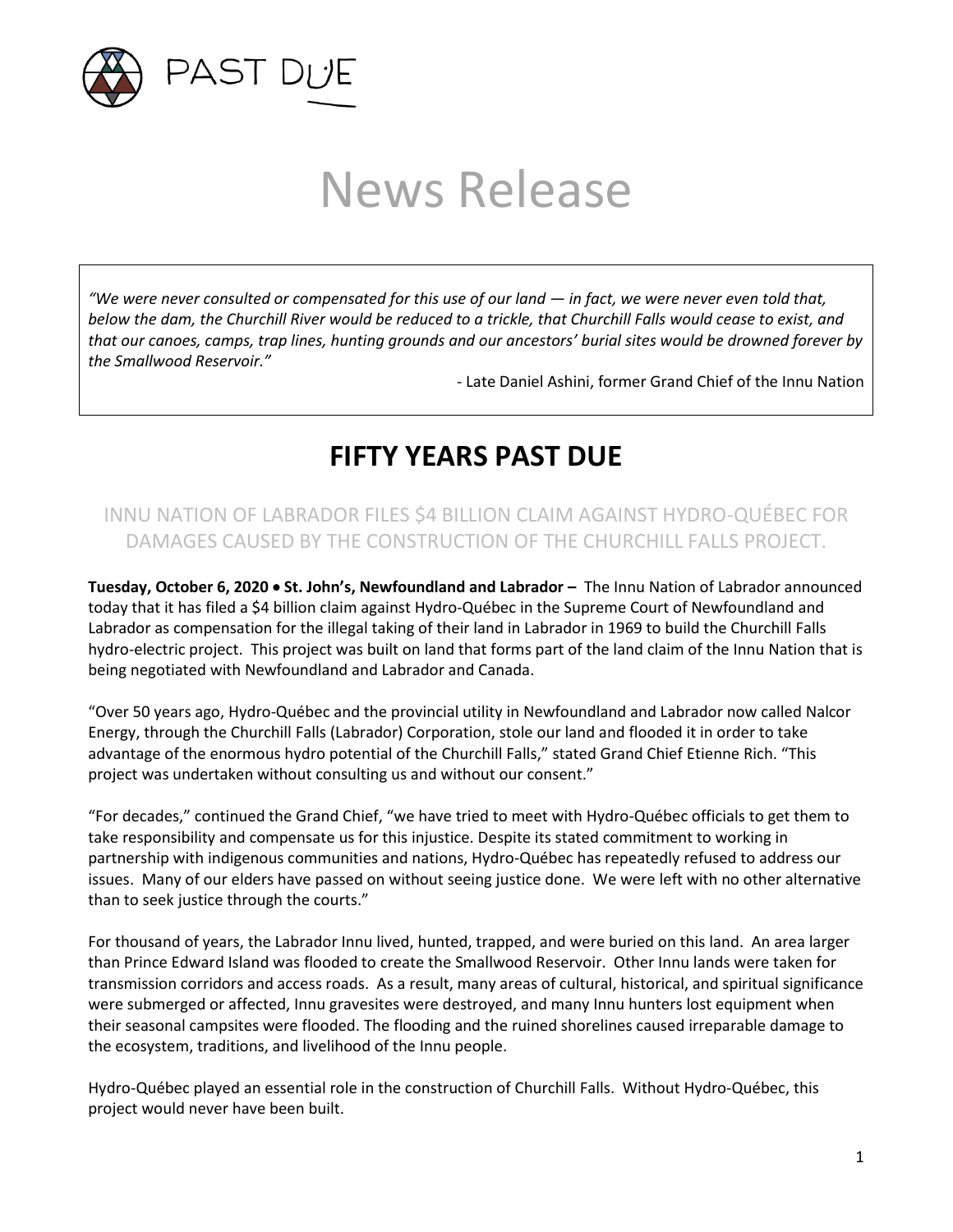

# News Release

*"We were never consulted or compensated for this use of our land — in fact, we were never even told that, below the dam, the Churchill River would be reduced to a trickle, that Churchill Falls would cease to exist, and that our canoes, camps, trap lines, hunting grounds and our ancestors' burial sites would be drowned forever by the Smallwood Reservoir."*

- Late Daniel Ashini, former Grand Chief of the Innu Nation

# **FIFTY YEARS PAST DUE**

## INNU NATION OF LABRADOR FILES \$4 BILLION CLAIM AGAINST HYDRO-QUÉBEC FOR DAMAGES CAUSED BY THE CONSTRUCTION OF THE CHURCHILL FALLS PROJECT.

**Tuesday, October 6, 2020** • **St. John's, Newfoundland and Labrador –** The Innu Nation of Labrador announced today that it has filed a \$4 billion claim against Hydro-Québec in the Supreme Court of Newfoundland and Labrador as compensation for the illegal taking of their land in Labrador in 1969 to build the Churchill Falls hydro-electric project. This project was built on land that forms part of the land claim of the Innu Nation that is being negotiated with Newfoundland and Labrador and Canada.

"Over 50 years ago, Hydro-Québec and the provincial utility in Newfoundland and Labrador now called Nalcor Energy, through the Churchill Falls (Labrador) Corporation, stole our land and flooded it in order to take advantage of the enormous hydro potential of the Churchill Falls," stated Grand Chief Etienne Rich. "This project was undertaken without consulting us and without our consent."

"For decades," continued the Grand Chief, "we have tried to meet with Hydro-Québec officials to get them to take responsibility and compensate us for this injustice. Despite its stated commitment to working in partnership with indigenous communities and nations, Hydro-Québec has repeatedly refused to address our issues. Many of our elders have passed on without seeing justice done. We were left with no other alternative than to seek justice through the courts."

For thousand of years, the Labrador Innu lived, hunted, trapped, and were buried on this land. An area larger than Prince Edward Island was flooded to create the Smallwood Reservoir. Other Innu lands were taken for transmission corridors and access roads. As a result, many areas of cultural, historical, and spiritual significance were submerged or affected, Innu gravesites were destroyed, and many Innu hunters lost equipment when their seasonal campsites were flooded. The flooding and the ruined shorelines caused irreparable damage to the ecosystem, traditions, and livelihood of the Innu people.

Hydro-Québec played an essential role in the construction of Churchill Falls. Without Hydro-Québec, this project would never have been built.